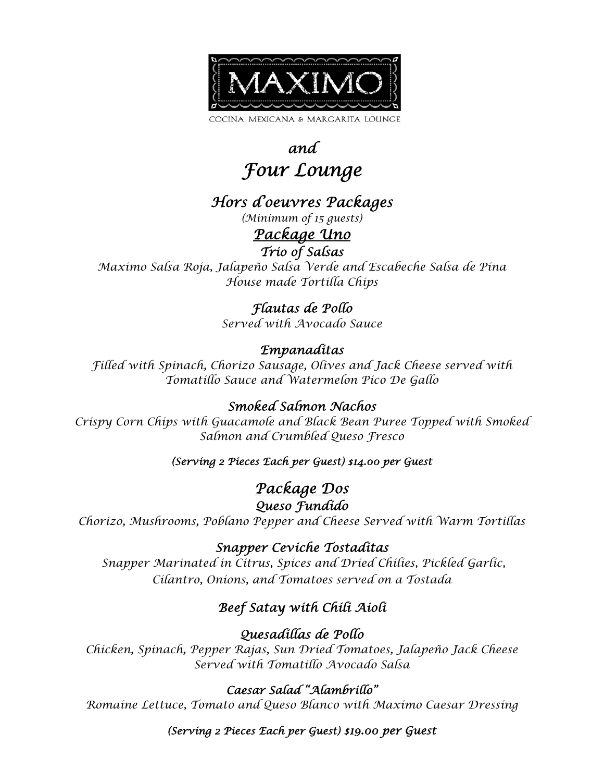

# *and Four Lounge*

# *Hors d'oeuvres Packages*

*(Minimum of 15 guests)* 

#### *Package Uno Trio of Salsas*

*Maximo Salsa Roja, Jalapeño Salsa Verde and Escabeche Salsa de Pina House made Tortilla Chips* 

#### *Flautas de Pollo*

*Served with Avocado Sauce* 

#### *Empanaditas*

*Filled with Spinach, Chorizo Sausage, Olives and Jack Cheese served with Tomatillo Sauce and Watermelon Pico De Gallo* 

#### *Smoked Salmon Nachos*

*Crispy Corn Chips with Guacamole and Black Bean Puree Topped with Smoked Salmon and Crumbled Queso Fresco* 

#### *(Serving 2 Pieces Each per Guest) \$14.00 per Guest*

# *Package Dos*

*Queso Fundido* 

*Chorizo, Mushrooms, Poblano Pepper and Cheese Served with Warm Tortillas* 

#### *Snapper Ceviche Tostaditas*

 *Snapper Marinated in Citrus, Spices and Dried Chilies, Pickled Garlic, Cilantro, Onions, and Tomatoes served on a Tostada* 

## *Beef Satay with Chili Aioli*

#### *Quesadillas de Pollo*

*Chicken, Spinach, Pepper Rajas, Sun Dried Tomatoes, Jalapeño Jack Cheese Served with Tomatillo Avocado Salsa* 

#### *Caesar Salad "Alambrillo"*

*Romaine Lettuce, Tomato and Queso Blanco with Maximo Caesar Dressing* 

*(Serving 2 Pieces Each per Guest) \$19.00 per Guest*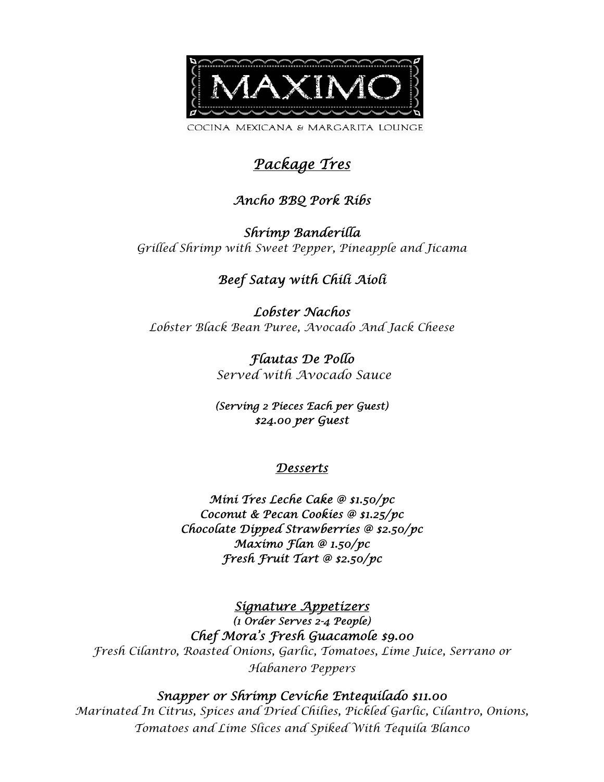

# *Package Tres*

#### *Ancho BBQ Pork Ribs*

*Shrimp Banderilla Grilled Shrimp with Sweet Pepper, Pineapple and Jicama* 

#### *Beef Satay with Chili Aioli*

*Lobster Nachos Lobster Black Bean Puree, Avocado And Jack Cheese* 

> *Flautas De Pollo Served with Avocado Sauce*

*(Serving 2 Pieces Each per Guest) \$24.00 per Guest* 

#### *Desserts*

*Mini Tres Leche Cake @ \$1.50/pc Coconut & Pecan Cookies @ \$1.25/pc Chocolate Dipped Strawberries @ \$2.50/pc Maximo Flan @ 1.50/pc Fresh Fruit Tart @ \$2.50/pc* 

*Signature Appetizers (1 Order Serves 2-4 People) Chef Mora's Fresh Guacamole \$9.00 Fresh Cilantro, Roasted Onions, Garlic, Tomatoes, Lime Juice, Serrano or Habanero Peppers* 

#### *Snapper or Shrimp Ceviche Entequilado \$11.00*

*Marinated In Citrus, Spices and Dried Chilies, Pickled Garlic, Cilantro, Onions, Tomatoes and Lime Slices and Spiked With Tequila Blanco*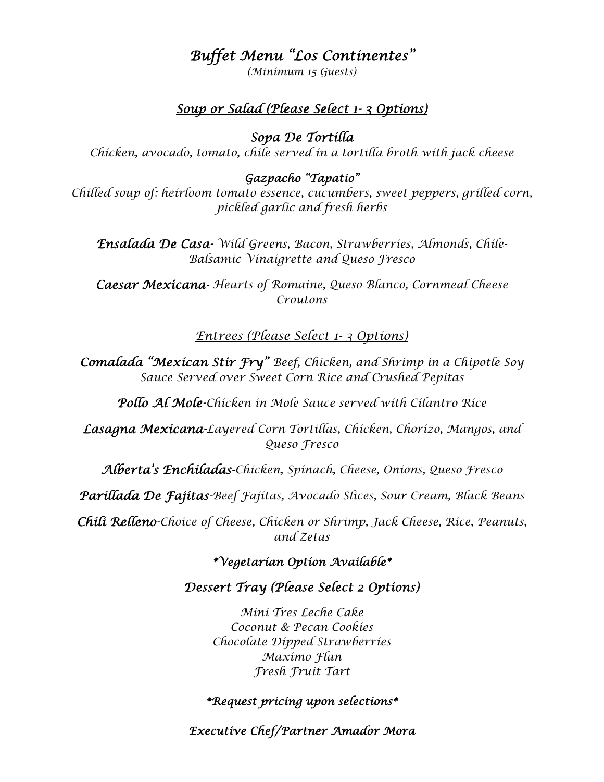## *Buffet Menu "Los Continentes"*

*(Minimum 15 Guests)* 

#### *Soup or Salad (Please Select 1- 3 Options)*

*Sopa De Tortilla* 

*Chicken, avocado, tomato, chile served in a tortilla broth with jack cheese* 

#### *Gazpacho "Tapatio"*

*Chilled soup of: heirloom tomato essence, cucumbers, sweet peppers, grilled corn, pickled garlic and fresh herbs* 

*Ensalada De Casa- Wild Greens, Bacon, Strawberries, Almonds, Chile-Balsamic Vinaigrette and Queso Fresco* 

*Caesar Mexicana- Hearts of Romaine, Queso Blanco, Cornmeal Cheese Croutons* 

#### *Entrees (Please Select 1- 3 Options)*

*Comalada "Mexican Stir Fry" Beef, Chicken, and Shrimp in a Chipotle Soy Sauce Served over Sweet Corn Rice and Crushed Pepitas* 

*Pollo Al Mole-Chicken in Mole Sauce served with Cilantro Rice* 

*Lasagna Mexicana-Layered Corn Tortillas, Chicken, Chorizo, Mangos, and Queso Fresco* 

*Alberta's Enchiladas-Chicken, Spinach, Cheese, Onions, Queso Fresco* 

*Parillada De Fajitas-Beef Fajitas, Avocado Slices, Sour Cream, Black Beans* 

*Chili Relleno-Choice of Cheese, Chicken or Shrimp, Jack Cheese, Rice, Peanuts, and Zetas* 

*\*Vegetarian Option Available\** 

#### *Dessert Tray (Please Select 2 Options)*

*Mini Tres Leche Cake Coconut & Pecan Cookies Chocolate Dipped Strawberries Maximo Flan Fresh Fruit Tart* 

#### *\*Request pricing upon selections\**

*Executive Chef/Partner Amador Mora*